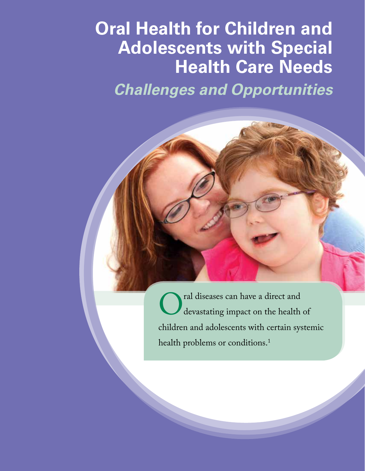# **Oral Health for Children and Adolescents with Special Health Care Needs**

*Challenges and Opportunities*

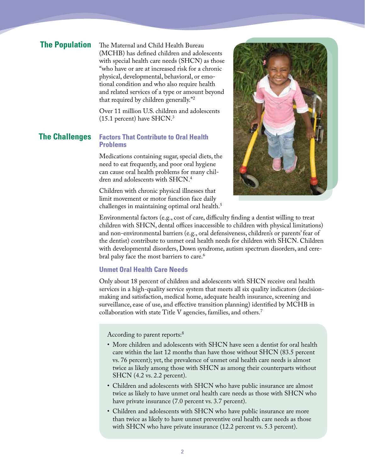# **The Population**

The Maternal and Child Health Bureau (MCHB) has defined children and adolescents with special health care needs (SHCN) as those "who have or are at increased risk for a chronic physical, developmental, behavioral, or emotional condition and who also require health and related services of a type or amount beyond that required by children generally."2

Over 11 million U.S. children and adolescents (15.1 percent) have SHCN.3

#### **The Challenges Factors That Contribute to Oral Health Problems**

Medications containing sugar, special diets, the need to eat frequently, and poor oral hygiene can cause oral health problems for many children and adolescents with SHCN.4

Children with chronic physical illnesses that limit movement or motor function face daily challenges in maintaining optimal oral health.<sup>5</sup>



Environmental factors (e.g., cost of care, difficulty finding a dentist willing to treat children with SHCN, dental offices inaccessible to children with physical limitations) and non-environmental barriers (e.g., oral defensiveness, children's or parents' fear of the dentist) contribute to unmet oral health needs for children with SHCN. Children with developmental disorders, Down syndrome, autism spectrum disorders, and cerebral palsy face the most barriers to care.<sup>6</sup>

# **Unmet Oral Health Care Needs**

Only about 18 percent of children and adolescents with SHCN receive oral health services in a high-quality service system that meets all six quality indicators (decisionmaking and satisfaction, medical home, adequate health insurance, screening and surveillance, ease of use, and effective transition planning) identified by MCHB in collaboration with state Title V agencies, families, and others.7

According to parent reports:<sup>8</sup>

- More children and adolescents with SHCN have seen a dentist for oral health care within the last 12 months than have those without SHCN (83.5 percent vs. 76 percent); yet, the prevalence of unmet oral health care needs is almost twice as likely among those with SHCN as among their counterparts without SHCN (4.2 vs. 2.2 percent).
- Children and adolescents with SHCN who have public insurance are almost twice as likely to have unmet oral health care needs as those with SHCN who have private insurance (7.0 percent vs. 3.7 percent).
- Children and adolescents with SHCN who have public insurance are more than twice as likely to have unmet preventive oral health care needs as those with SHCN who have private insurance (12.2 percent vs. 5.3 percent).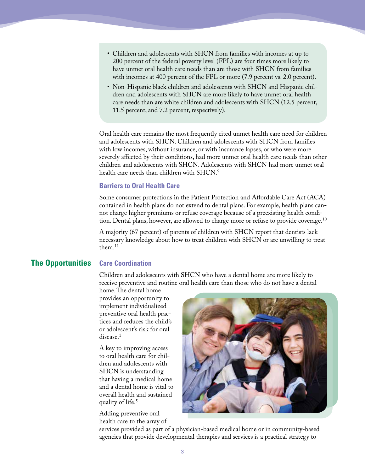- Children and adolescents with SHCN from families with incomes at up to 200 percent of the federal poverty level (FPL) are four times more likely to have unmet oral health care needs than are those with SHCN from families with incomes at 400 percent of the FPL or more  $(7.9$  percent vs. 2.0 percent).
- Non-Hispanic black children and adolescents with SHCN and Hispanic children and adolescents with SHCN are more likely to have unmet oral health care needs than are white children and adolescents with SHCN (12.5 percent, 11.5 percent, and 7.2 percent, respectively).

Oral health care remains the most frequently cited unmet health care need for children and adolescents with SHCN. Children and adolescents with SHCN from families with low incomes, without insurance, or with insurance lapses, or who were more severely affected by their conditions, had more unmet oral health care needs than other children and adolescents with SHCN. Adolescents with SHCN had more unmet oral health care needs than children with SHCN.<sup>9</sup>

#### **Barriers to Oral Health Care**

Some consumer protections in the Patient Protection and Affordable Care Act (ACA) contained in health plans do not extend to dental plans. For example, health plans cannot charge higher premiums or refuse coverage because of a preexisting health condition. Dental plans, however, are allowed to charge more or refuse to provide coverage.<sup>10</sup>

A majority (67 percent) of parents of children with SHCN report that dentists lack necessary knowledge about how to treat children with SHCN or are unwilling to treat them $11$ 

# **The Opportunities Care Coordination**

Children and adolescents with SHCN who have a dental home are more likely to receive preventive and routine oral health care than those who do not have a dental

home. The dental home provides an opportunity to implement individualized preventive oral health practices and reduces the child's or adolescent's risk for oral disease.<sup>1</sup>

A key to improving access to oral health care for children and adolescents with SHCN is understanding that having a medical home and a dental home is vital to overall health and sustained quality of life.<sup>5</sup>

Adding preventive oral health care to the array of



services provided as part of a physician-based medical home or in community-based agencies that provide developmental therapies and services is a practical strategy to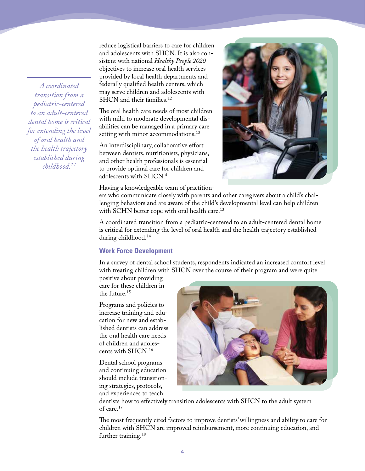*A coordinated transition from a pediatric-centered to an adult-centered dental home is critical for extending the level of oral health and the health trajectory established during childhood.<sup>14</sup>*

reduce logistical barriers to care for children and adolescents with SHCN. It is also consistent with national *Healthy People 2020* objectives to increase oral health services provided by local health departments and federally qualified health centers, which may serve children and adolescents with SHCN and their families.<sup>12</sup>

The oral health care needs of most children with mild to moderate developmental disabilities can be managed in a primary care setting with minor accommodations.<sup>13</sup>

An interdisciplinary, collaborative effort between dentists, nutritionists, physicians, and other health professionals is essential to provide optimal care for children and adolescents with SHCN.4

Having a knowledgeable team of practition-



ers who communicate closely with parents and other caregivers about a child's challenging behaviors and are aware of the child's developmental level can help children with SCHN better cope with oral health care.<sup>13</sup>

A coordinated transition from a pediatric-centered to an adult-centered dental home is critical for extending the level of oral health and the health trajectory established during childhood.14

# **Work Force Development**

In a survey of dental school students, respondents indicated an increased comfort level with treating children with SHCN over the course of their program and were quite

positive about providing care for these children in the future.<sup>15</sup>

Programs and policies to increase training and education for new and established dentists can address the oral health care needs of children and adolescents with SHCN.16

Dental school programs and continuing education should include transitioning strategies, protocols, and experiences to teach



dentists how to effectively transition adolescents with SHCN to the adult system of care.17

The most frequently cited factors to improve dentists' willingness and ability to care for children with SHCN are improved reimbursement, more continuing education, and further training.<sup>18</sup>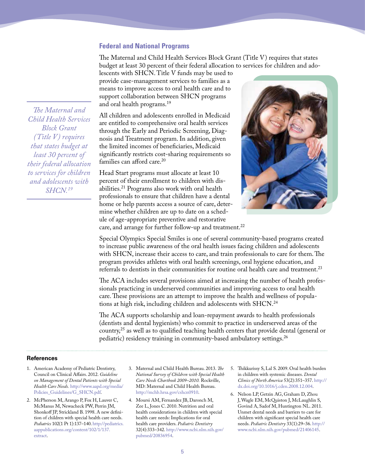### **Federal and National Programs**

The Maternal and Child Health Services Block Grant (Title V) requires that states budget at least 30 percent of their federal allocation to services for children and ado-

lescents with SHCN. Title V funds may be used to provide case-management services to families as a means to improve access to oral health care and to support collaboration between SHCN programs and oral health programs.19

All children and adolescents enrolled in Medicaid are entitled to comprehensive oral health services through the Early and Periodic Screening, Diagnosis and Treatment program. In addition, given the limited incomes of beneficiaries, Medicaid significantly restricts cost-sharing requirements so families can afford care.<sup>20</sup>

Head Start programs must allocate at least 10 percent of their enrollment to children with disabilities.21 Programs also work with oral health professionals to ensure that children have a dental home or help parents access a source of care, determine whether children are up to date on a schedule of age-appropriate preventive and restorative care, and arrange for further follow-up and treatment.<sup>22</sup>



Special Olympics Special Smiles is one of several community-based programs created to increase public awareness of the oral health issues facing children and adolescents with SHCN, increase their access to care, and train professionals to care for them. The program provides athletes with oral health screenings, oral hygiene education, and referrals to dentists in their communities for routine oral health care and treatment.23

The ACA includes several provisions aimed at increasing the number of health professionals practicing in underserved communities and improving access to oral health care. These provisions are an attempt to improve the health and wellness of populations at high risk, including children and adolescents with SHCN.24

The ACA supports scholarship and loan-repayment awards to health professionals (dentists and dental hygienists) who commit to practice in underserved areas of the country,25 as well as to qualified teaching health centers that provide dental (general or pediatric) residency training in community-based ambulatory settings.26

#### **References**

- 1. American Academy of Pediatric Dentistry, Council on Clinical Affairs. 2012. *Guideline on Management of Dental Patients with Special Health Care Needs.* http://www.aapd.org/media/ Policies\_Guidelines/G\_SHCN.pdf.
- 2. McPherson M, Arango P, Fox H, Lauver C, McManus M, Newacheck PW, Perrin JM, Shonkoff JP, Strickland B. 1998. A new definition of children with special health care needs. *Pediatrics* 102(1 Pt 1):137–140. http://pediatrics. aappublications.org/content/102/1/137. extract.
- 3. Maternal and Child Health Bureau. 2013. *The National Survey of Children with Special Health Care Needs Chartbook 2009–2010.* Rockville, MD: Maternal and Child Health Bureau. http://mchb.hrsa.gov/cshcn0910.
- 4. Moursi AM, Fernandez JB, Daronch M, Zee L, Jones C. 2010. Nutrition and oral health considerations in children with special health care needs: Implications for oral health care providers. *Pediatric Dentistry* 32(4):333–342. http://www.ncbi.nlm.nih.gov/ pubmed/20836954.
- 5. Thikkurissy S, Lal S. 2009. Oral health burden in children with systemic diseases. *Dental Clinics of North America* 53(2):351–357. http:// dx.doi.org/10.1016/j.cden.2008.12.004.
- 6. Nelson LP, Getzin AG, Graham D, Zhou J, Wagle EM, McQuiston J, McLaughlin S, Govind A, Sadof M, Huntington NL. 2011. Unmet dental needs and barriers to care for children with significant special health care needs. *Pediatric Dentistry* 33(1):29–36. http:// www.ncbi.nlm.nih.gov/pubmed/21406145.

*The Maternal and Child Health Services Block Grant (Title V) requires that states budget at least 30 percent of their federal allocation to services for children and adolescents with SHCN.19*